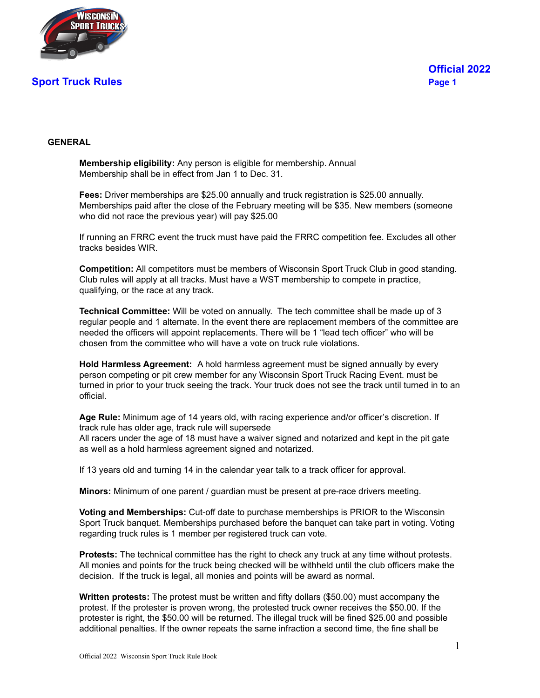

#### **GENERAL**

**Membership eligibility:** Any person is eligible for membership. Annual Membership shall be in effect from Jan 1 to Dec. 31.

**Fees:** Driver memberships are \$25.00 annually and truck registration is \$25.00 annually. Memberships paid after the close of the February meeting will be \$35. New members (someone who did not race the previous year) will pay \$25.00

If running an FRRC event the truck must have paid the FRRC competition fee. Excludes all other tracks besides WIR.

**Competition:** All competitors must be members of Wisconsin Sport Truck Club in good standing. Club rules will apply at all tracks. Must have a WST membership to compete in practice, qualifying, or the race at any track.

**Technical Committee:** Will be voted on annually. The tech committee shall be made up of 3 regular people and 1 alternate. In the event there are replacement members of the committee are needed the officers will appoint replacements. There will be 1 "lead tech officer" who will be chosen from the committee who will have a vote on truck rule violations.

**Hold Harmless Agreement:** A hold harmless agreement must be signed annually by every person competing or pit crew member for any Wisconsin Sport Truck Racing Event. must be turned in prior to your truck seeing the track. Your truck does not see the track until turned in to an official.

**Age Rule:** Minimum age of 14 years old, with racing experience and/or officer's discretion. If track rule has older age, track rule will supersede

All racers under the age of 18 must have a waiver signed and notarized and kept in the pit gate as well as a hold harmless agreement signed and notarized.

If 13 years old and turning 14 in the calendar year talk to a track officer for approval.

**Minors:** Minimum of one parent / guardian must be present at pre-race drivers meeting.

**Voting and Memberships:** Cut-off date to purchase memberships is PRIOR to the Wisconsin Sport Truck banquet. Memberships purchased before the banquet can take part in voting. Voting regarding truck rules is 1 member per registered truck can vote.

**Protests:** The technical committee has the right to check any truck at any time without protests. All monies and points for the truck being checked will be withheld until the club officers make the decision. If the truck is legal, all monies and points will be award as normal.

**Written protests:** The protest must be written and fifty dollars (\$50.00) must accompany the protest. If the protester is proven wrong, the protested truck owner receives the \$50.00. If the protester is right, the \$50.00 will be returned. The illegal truck will be fined \$25.00 and possible additional penalties. If the owner repeats the same infraction a second time, the fine shall be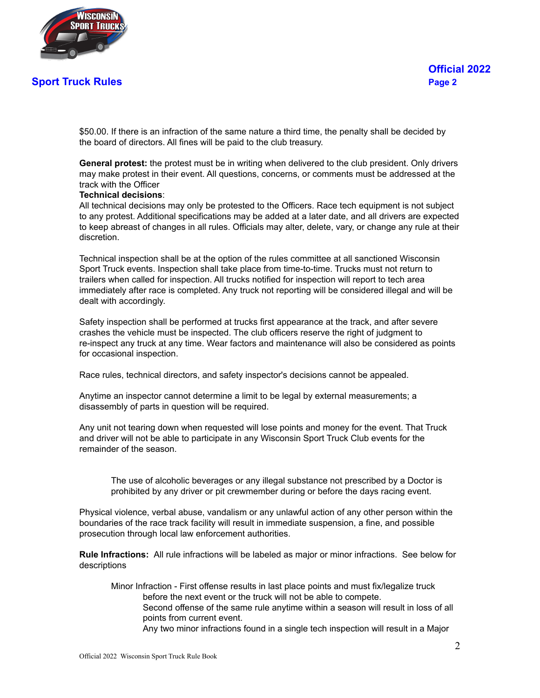

\$50.00. If there is an infraction of the same nature a third time, the penalty shall be decided by the board of directors. All fines will be paid to the club treasury.

**General protest:** the protest must be in writing when delivered to the club president. Only drivers may make protest in their event. All questions, concerns, or comments must be addressed at the track with the Officer

#### **Technical decisions**:

All technical decisions may only be protested to the Officers. Race tech equipment is not subject to any protest. Additional specifications may be added at a later date, and all drivers are expected to keep abreast of changes in all rules. Officials may alter, delete, vary, or change any rule at their discretion.

Technical inspection shall be at the option of the rules committee at all sanctioned Wisconsin Sport Truck events. Inspection shall take place from time-to-time. Trucks must not return to trailers when called for inspection. All trucks notified for inspection will report to tech area immediately after race is completed. Any truck not reporting will be considered illegal and will be dealt with accordingly.

Safety inspection shall be performed at trucks first appearance at the track, and after severe crashes the vehicle must be inspected. The club officers reserve the right of judgment to re-inspect any truck at any time. Wear factors and maintenance will also be considered as points for occasional inspection.

Race rules, technical directors, and safety inspector's decisions cannot be appealed.

Anytime an inspector cannot determine a limit to be legal by external measurements; a disassembly of parts in question will be required.

Any unit not tearing down when requested will lose points and money for the event. That Truck and driver will not be able to participate in any Wisconsin Sport Truck Club events for the remainder of the season.

The use of alcoholic beverages or any illegal substance not prescribed by a Doctor is prohibited by any driver or pit crewmember during or before the days racing event.

Physical violence, verbal abuse, vandalism or any unlawful action of any other person within the boundaries of the race track facility will result in immediate suspension, a fine, and possible prosecution through local law enforcement authorities.

**Rule Infractions:** All rule infractions will be labeled as major or minor infractions. See below for descriptions

Minor Infraction - First offense results in last place points and must fix/legalize truck before the next event or the truck will not be able to compete. Second offense of the same rule anytime within a season will result in loss of all points from current event. Any two minor infractions found in a single tech inspection will result in a Major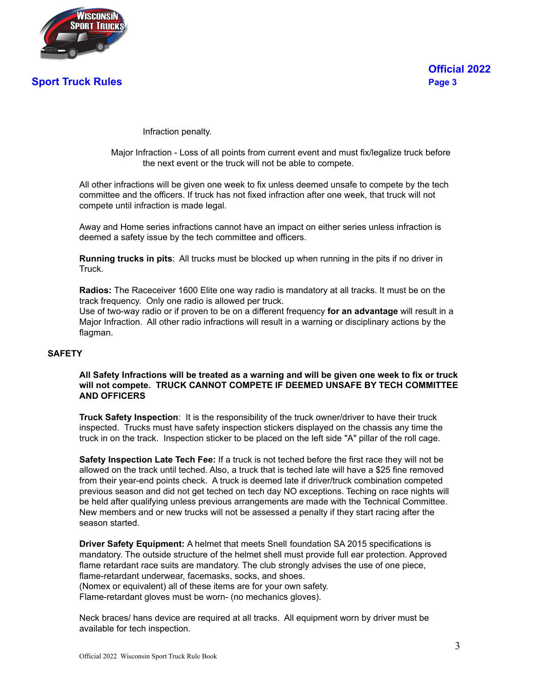

Infraction penalty.

Major Infraction - Loss of all points from current event and must fix/legalize truck before the next event or the truck will not be able to compete.

All other infractions will be given one week to fix unless deemed unsafe to compete by the tech committee and the officers. If truck has not fixed infraction after one week, that truck will not compete until infraction is made legal.

Away and Home series infractions cannot have an impact on either series unless infraction is deemed a safety issue by the tech committee and officers.

**Running trucks in pits**: All trucks must be blocked up when running in the pits if no driver in Truck.

**Radios:** The Raceceiver 1600 Elite one way radio is mandatory at all tracks. It must be on the track frequency. Only one radio is allowed per truck.

Use of two-way radio or if proven to be on a different frequency **for an advantage** will result in a Major Infraction. All other radio infractions will result in a warning or disciplinary actions by the flagman.

#### **SAFETY**

#### All Safety Infractions will be treated as a warning and will be given one week to fix or truck **will not compete. TRUCK CANNOT COMPETE IF DEEMED UNSAFE BY TECH COMMITTEE AND OFFICERS**

**Truck Safety Inspection**: It is the responsibility of the truck owner/driver to have their truck inspected. Trucks must have safety inspection stickers displayed on the chassis any time the truck in on the track. Inspection sticker to be placed on the left side "A" pillar of the roll cage.

**Safety Inspection Late Tech Fee:** If a truck is not teched before the first race they will not be allowed on the track until teched. Also, a truck that is teched late will have a \$25 fine removed from their year-end points check. A truck is deemed late if driver/truck combination competed previous season and did not get teched on tech day NO exceptions. Teching on race nights will be held after qualifying unless previous arrangements are made with the Technical Committee. New members and or new trucks will not be assessed a penalty if they start racing after the season started.

**Driver Safety Equipment:** A helmet that meets Snell foundation SA 2015 specifications is mandatory. The outside structure of the helmet shell must provide full ear protection. Approved flame retardant race suits are mandatory. The club strongly advises the use of one piece, flame-retardant underwear, facemasks, socks, and shoes. (Nomex or equivalent) all of these items are for your own safety. Flame-retardant gloves must be worn- (no mechanics gloves).

Neck braces/ hans device are required at all tracks. All equipment worn by driver must be available for tech inspection.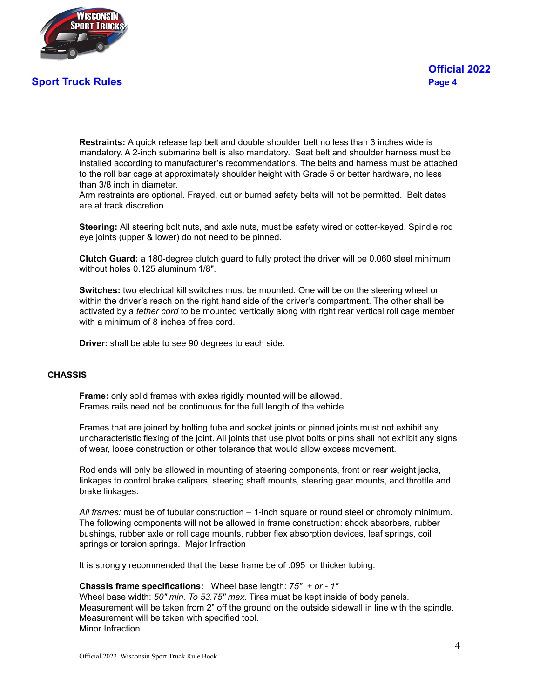

**Restraints:** A quick release lap belt and double shoulder belt no less than 3 inches wide is mandatory. A 2-inch submarine belt is also mandatory. Seat belt and shoulder harness must be installed according to manufacturer's recommendations. The belts and harness must be attached to the roll bar cage at approximately shoulder height with Grade 5 or better hardware, no less than 3/8 inch in diameter.

Arm restraints are optional. Frayed, cut or burned safety belts will not be permitted. Belt dates are at track discretion.

**Steering:** All steering bolt nuts, and axle nuts, must be safety wired or cotter-keyed. Spindle rod eye joints (upper & lower) do not need to be pinned.

**Clutch Guard:** a 180-degree clutch guard to fully protect the driver will be 0.060 steel minimum without holes 0.125 aluminum 1/8".

**Switches:** two electrical kill switches must be mounted. One will be on the steering wheel or within the driver's reach on the right hand side of the driver's compartment. The other shall be activated by a *tether cord* to be mounted vertically along with right rear vertical roll cage member with a minimum of 8 inches of free cord.

**Driver:** shall be able to see 90 degrees to each side.

#### **CHASSIS**

**Frame:** only solid frames with axles rigidly mounted will be allowed. Frames rails need not be continuous for the full length of the vehicle.

Frames that are joined by bolting tube and socket joints or pinned joints must not exhibit any uncharacteristic flexing of the joint. All joints that use pivot bolts or pins shall not exhibit any signs of wear, loose construction or other tolerance that would allow excess movement.

Rod ends will only be allowed in mounting of steering components, front or rear weight jacks, linkages to control brake calipers, steering shaft mounts, steering gear mounts, and throttle and brake linkages.

*All frames:* must be of tubular construction – 1-inch square or round steel or chromoly minimum. The following components will not be allowed in frame construction: shock absorbers, rubber bushings, rubber axle or roll cage mounts, rubber flex absorption devices, leaf springs, coil springs or torsion springs. Major Infraction

It is strongly recommended that the base frame be of .095 or thicker tubing.

**Chassis frame specifications:** Wheel base length: *75" + or - 1"* Wheel base width: *50" min. To 53.75" max*. Tires must be kept inside of body panels. Measurement will be taken from 2" off the ground on the outside sidewall in line with the spindle. Measurement will be taken with specified tool.

Minor Infraction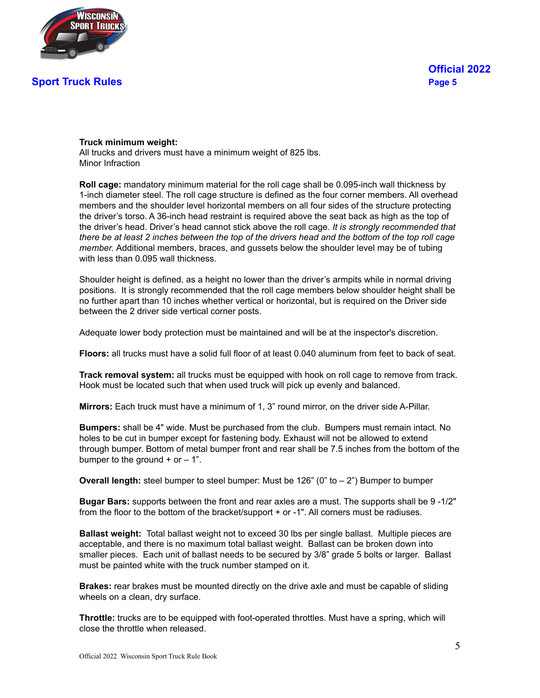

#### **Truck minimum weight:**

All trucks and drivers must have a minimum weight of 825 lbs. Minor Infraction

**Roll cage:** mandatory minimum material for the roll cage shall be 0.095-inch wall thickness by 1-inch diameter steel. The roll cage structure is defined as the four corner members. All overhead members and the shoulder level horizontal members on all four sides of the structure protecting the driver's torso. A 36-inch head restraint is required above the seat back as high as the top of the driver's head. Driver's head cannot stick above the roll cage. *It is strongly recommended that* there be at least 2 inches between the top of the drivers head and the bottom of the top roll cage *member.* Additional members, braces, and gussets below the shoulder level may be of tubing with less than 0.095 wall thickness.

Shoulder height is defined, as a height no lower than the driver's armpits while in normal driving positions. It is strongly recommended that the roll cage members below shoulder height shall be no further apart than 10 inches whether vertical or horizontal, but is required on the Driver side between the 2 driver side vertical corner posts.

Adequate lower body protection must be maintained and will be at the inspector's discretion.

**Floors:** all trucks must have a solid full floor of at least 0.040 aluminum from feet to back of seat.

**Track removal system:** all trucks must be equipped with hook on roll cage to remove from track. Hook must be located such that when used truck will pick up evenly and balanced.

**Mirrors:** Each truck must have a minimum of 1, 3" round mirror, on the driver side A-Pillar.

**Bumpers:** shall be 4" wide. Must be purchased from the club. Bumpers must remain intact. No holes to be cut in bumper except for fastening body. Exhaust will not be allowed to extend through bumper. Bottom of metal bumper front and rear shall be 7.5 inches from the bottom of the bumper to the ground  $+$  or  $-1$ ".

**Overall length:** steel bumper to steel bumper: Must be 126" (0" to – 2") Bumper to bumper

**Bugar Bars:** supports between the front and rear axles are a must. The supports shall be 9 -1/2" from the floor to the bottom of the bracket/support + or -1". All corners must be radiuses.

**Ballast weight:** Total ballast weight not to exceed 30 lbs per single ballast. Multiple pieces are acceptable, and there is no maximum total ballast weight. Ballast can be broken down into smaller pieces. Each unit of ballast needs to be secured by 3/8" grade 5 bolts or larger. Ballast must be painted white with the truck number stamped on it.

**Brakes:** rear brakes must be mounted directly on the drive axle and must be capable of sliding wheels on a clean, dry surface.

**Throttle:** trucks are to be equipped with foot-operated throttles. Must have a spring, which will close the throttle when released.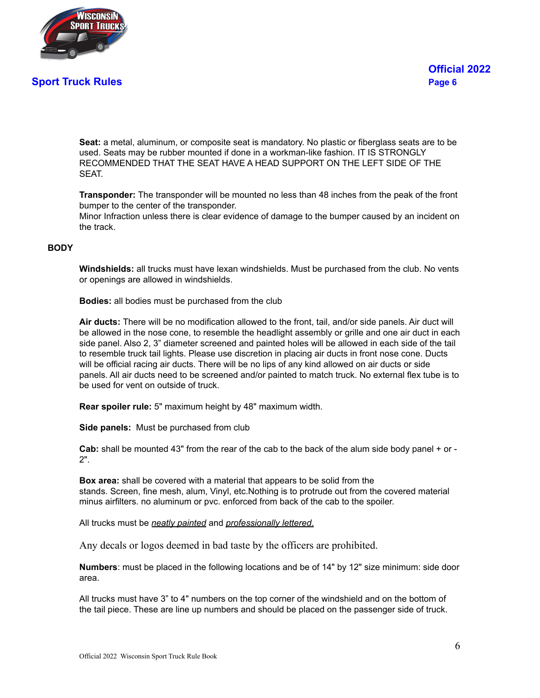

**Seat:** a metal, aluminum, or composite seat is mandatory. No plastic or fiberglass seats are to be used. Seats may be rubber mounted if done in a workman-like fashion. IT IS STRONGLY RECOMMENDED THAT THE SEAT HAVE A HEAD SUPPORT ON THE LEFT SIDE OF THE SEAT.

**Transponder:** The transponder will be mounted no less than 48 inches from the peak of the front bumper to the center of the transponder.

Minor Infraction unless there is clear evidence of damage to the bumper caused by an incident on the track.

#### **BODY**

**Windshields:** all trucks must have lexan windshields. Must be purchased from the club. No vents or openings are allowed in windshields.

**Bodies:** all bodies must be purchased from the club

**Air ducts:** There will be no modification allowed to the front, tail, and/or side panels. Air duct will be allowed in the nose cone, to resemble the headlight assembly or grille and one air duct in each side panel. Also 2, 3" diameter screened and painted holes will be allowed in each side of the tail to resemble truck tail lights. Please use discretion in placing air ducts in front nose cone. Ducts will be official racing air ducts. There will be no lips of any kind allowed on air ducts or side panels. All air ducts need to be screened and/or painted to match truck. No external flex tube is to be used for vent on outside of truck.

**Rear spoiler rule:** 5" maximum height by 48" maximum width.

**Side panels:** Must be purchased from club

**Cab:** shall be mounted 43" from the rear of the cab to the back of the alum side body panel + or - 2".

**Box area:** shall be covered with a material that appears to be solid from the stands. Screen, fine mesh, alum, Vinyl, etc.Nothing is to protrude out from the covered material minus airfilters. no aluminum or pvc. enforced from back of the cab to the spoiler.

All trucks must be *neatly painted* and *professionally lettered*.

Any decals or logos deemed in bad taste by the officers are prohibited.

**Numbers**: must be placed in the following locations and be of 14" by 12" size minimum: side door area.

All trucks must have 3" to 4" numbers on the top corner of the windshield and on the bottom of the tail piece. These are line up numbers and should be placed on the passenger side of truck.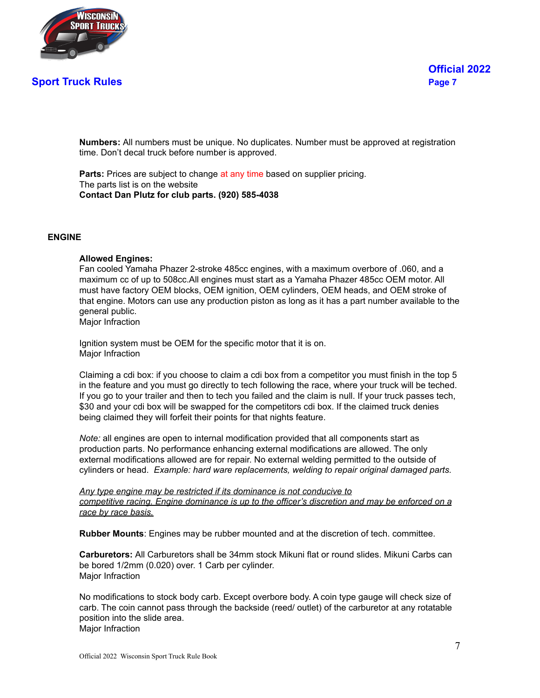

**Numbers:** All numbers must be unique. No duplicates. Number must be approved at registration time. Don't decal truck before number is approved.

**Parts:** Prices are subject to change at any time based on supplier pricing. The parts list is on the website **Contact Dan Plutz for club parts. (920) 585-4038**

#### **ENGINE**

#### **Allowed Engines:**

Fan cooled Yamaha Phazer 2-stroke 485cc engines, with a maximum overbore of .060, and a maximum cc of up to 508cc.All engines must start as a Yamaha Phazer 485cc OEM motor. All must have factory OEM blocks, OEM ignition, OEM cylinders, OEM heads, and OEM stroke of that engine. Motors can use any production piston as long as it has a part number available to the general public.

Major Infraction

Ignition system must be OEM for the specific motor that it is on. Major Infraction

Claiming a cdi box: if you choose to claim a cdi box from a competitor you must finish in the top 5 in the feature and you must go directly to tech following the race, where your truck will be teched. If you go to your trailer and then to tech you failed and the claim is null. If your truck passes tech, \$30 and your cdi box will be swapped for the competitors cdi box. If the claimed truck denies being claimed they will forfeit their points for that nights feature.

*Note:* all engines are open to internal modification provided that all components start as production parts. No performance enhancing external modifications are allowed. The only external modifications allowed are for repair. No external welding permitted to the outside of cylinders or head. *Example: hard ware replacements, welding to repair original damaged parts.*

*Any type engine may be restricted if its dominance is not conducive to competitive racing. Engine dominance is up to the officer's discretion and may be enforced on a race by race basis.*

**Rubber Mounts**: Engines may be rubber mounted and at the discretion of tech. committee.

**Carburetors:** All Carburetors shall be 34mm stock Mikuni flat or round slides. Mikuni Carbs can be bored 1/2mm (0.020) over. 1 Carb per cylinder. Major Infraction

No modifications to stock body carb. Except overbore body. A coin type gauge will check size of carb. The coin cannot pass through the backside (reed/ outlet) of the carburetor at any rotatable position into the slide area. Major Infraction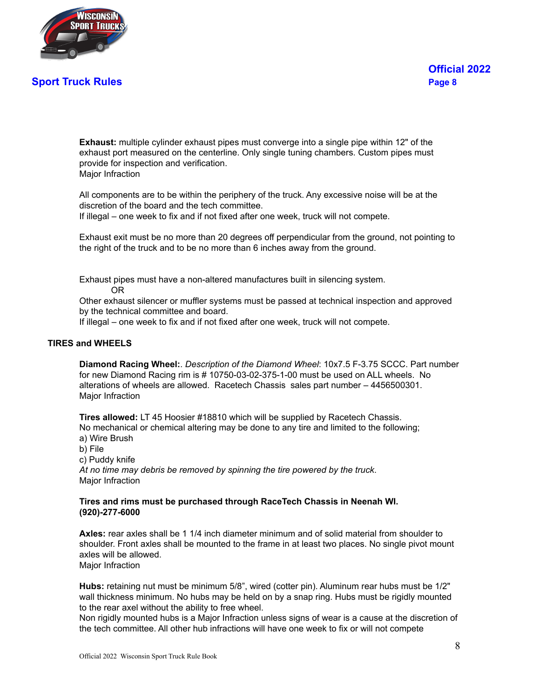

**Exhaust:** multiple cylinder exhaust pipes must converge into a single pipe within 12" of the exhaust port measured on the centerline. Only single tuning chambers. Custom pipes must provide for inspection and verification. Major Infraction

All components are to be within the periphery of the truck. Any excessive noise will be at the discretion of the board and the tech committee.

If illegal – one week to fix and if not fixed after one week, truck will not compete.

Exhaust exit must be no more than 20 degrees off perpendicular from the ground, not pointing to the right of the truck and to be no more than 6 inches away from the ground.

Exhaust pipes must have a non-altered manufactures built in silencing system. OR

Other exhaust silencer or muffler systems must be passed at technical inspection and approved by the technical committee and board.

If illegal – one week to fix and if not fixed after one week, truck will not compete.

#### **TIRES and WHEELS**

**Diamond Racing Wheel:**. *Description of the Diamond Wheel*: 10x7.5 F-3.75 SCCC. Part number for new Diamond Racing rim is # 10750-03-02-375-1-00 must be used on ALL wheels. No alterations of wheels are allowed. Racetech Chassis sales part number – 4456500301. Major Infraction

**Tires allowed:** LT 45 Hoosier #18810 which will be supplied by Racetech Chassis. No mechanical or chemical altering may be done to any tire and limited to the following; a) Wire Brush

b) File

c) Puddy knife

*At no time may debris be removed by spinning the tire powered by the truck*. Major Infraction

#### **Tires and rims must be purchased through RaceTech Chassis in Neenah WI. (920)-277-6000**

**Axles:** rear axles shall be 1 1/4 inch diameter minimum and of solid material from shoulder to shoulder. Front axles shall be mounted to the frame in at least two places. No single pivot mount axles will be allowed. Maior Infraction

**Hubs:** retaining nut must be minimum 5/8", wired (cotter pin). Aluminum rear hubs must be 1/2" wall thickness minimum. No hubs may be held on by a snap ring. Hubs must be rigidly mounted to the rear axel without the ability to free wheel.

Non rigidly mounted hubs is a Major Infraction unless signs of wear is a cause at the discretion of the tech committee. All other hub infractions will have one week to fix or will not compete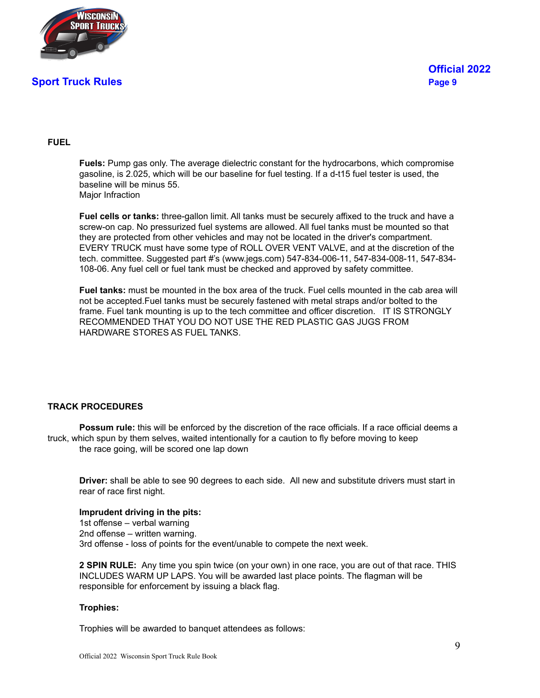

#### **FUEL**

**Fuels:** Pump gas only. The average dielectric constant for the hydrocarbons, which compromise gasoline, is 2.025, which will be our baseline for fuel testing. If a d-t15 fuel tester is used, the baseline will be minus 55. Maior Infraction

**Fuel cells or tanks:** three-gallon limit. All tanks must be securely affixed to the truck and have a screw-on cap. No pressurized fuel systems are allowed. All fuel tanks must be mounted so that they are protected from other vehicles and may not be located in the driver's compartment. EVERY TRUCK must have some type of ROLL OVER VENT VALVE, and at the discretion of the tech. committee. Suggested part #'s (www.jegs.com) 547-834-006-11, 547-834-008-11, 547-834- 108-06. Any fuel cell or fuel tank must be checked and approved by safety committee.

**Fuel tanks:** must be mounted in the box area of the truck. Fuel cells mounted in the cab area will not be accepted.Fuel tanks must be securely fastened with metal straps and/or bolted to the frame. Fuel tank mounting is up to the tech committee and officer discretion. IT IS STRONGLY RECOMMENDED THAT YOU DO NOT USE THE RED PLASTIC GAS JUGS FROM HARDWARE STORES AS FUEL TANKS.

#### **TRACK PROCEDURES**

**Possum rule:** this will be enforced by the discretion of the race officials. If a race official deems a truck, which spun by them selves, waited intentionally for a caution to fly before moving to keep the race going, will be scored one lap down

**Driver:** shall be able to see 90 degrees to each side. All new and substitute drivers must start in rear of race first night.

#### **Imprudent driving in the pits:**

1st offense – verbal warning 2nd offense – written warning. 3rd offense - loss of points for the event/unable to compete the next week.

**2 SPIN RULE:** Any time you spin twice (on your own) in one race, you are out of that race. THIS INCLUDES WARM UP LAPS. You will be awarded last place points. The flagman will be responsible for enforcement by issuing a black flag.

#### **Trophies:**

Trophies will be awarded to banquet attendees as follows: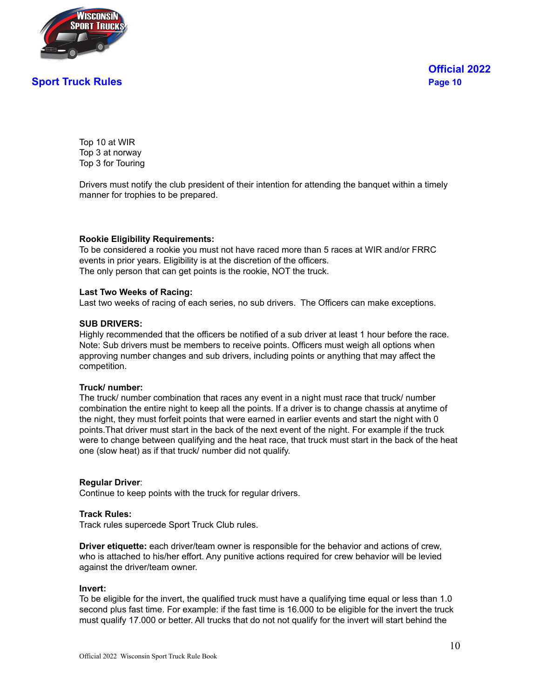

Top 10 at WIR Top 3 at norway Top 3 for Touring

Drivers must notify the club president of their intention for attending the banquet within a timely manner for trophies to be prepared.

#### **Rookie Eligibility Requirements:**

To be considered a rookie you must not have raced more than 5 races at WIR and/or FRRC events in prior years. Eligibility is at the discretion of the officers. The only person that can get points is the rookie, NOT the truck.

#### **Last Two Weeks of Racing:**

Last two weeks of racing of each series, no sub drivers. The Officers can make exceptions.

#### **SUB DRIVERS:**

Highly recommended that the officers be notified of a sub driver at least 1 hour before the race. Note: Sub drivers must be members to receive points. Officers must weigh all options when approving number changes and sub drivers, including points or anything that may affect the competition.

#### **Truck/ number:**

The truck/ number combination that races any event in a night must race that truck/ number combination the entire night to keep all the points. If a driver is to change chassis at anytime of the night, they must forfeit points that were earned in earlier events and start the night with 0 points.That driver must start in the back of the next event of the night. For example if the truck were to change between qualifying and the heat race, that truck must start in the back of the heat one (slow heat) as if that truck/ number did not qualify.

#### **Regular Driver**:

Continue to keep points with the truck for regular drivers.

#### **Track Rules:**

Track rules supercede Sport Truck Club rules.

**Driver etiquette:** each driver/team owner is responsible for the behavior and actions of crew, who is attached to his/her effort. Any punitive actions required for crew behavior will be levied against the driver/team owner.

#### **Invert:**

To be eligible for the invert, the qualified truck must have a qualifying time equal or less than 1.0 second plus fast time. For example: if the fast time is 16.000 to be eligible for the invert the truck must qualify 17.000 or better. All trucks that do not not qualify for the invert will start behind the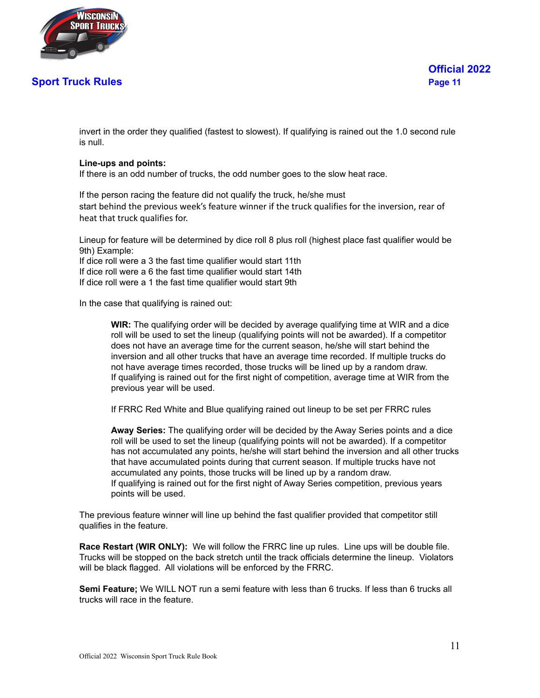

invert in the order they qualified (fastest to slowest). If qualifying is rained out the 1.0 second rule is null.

#### **Line-ups and points:**

If there is an odd number of trucks, the odd number goes to the slow heat race.

If the person racing the feature did not qualify the truck, he/she must start behind the previous week's feature winner if the truck qualifies for the inversion, rear of heat that truck qualifies for.

Lineup for feature will be determined by dice roll 8 plus roll (highest place fast qualifier would be 9th) Example:

If dice roll were a 3 the fast time qualifier would start 11th If dice roll were a 6 the fast time qualifier would start 14th If dice roll were a 1 the fast time qualifier would start 9th

In the case that qualifying is rained out:

**WIR:** The qualifying order will be decided by average qualifying time at WIR and a dice roll will be used to set the lineup (qualifying points will not be awarded). If a competitor does not have an average time for the current season, he/she will start behind the inversion and all other trucks that have an average time recorded. If multiple trucks do not have average times recorded, those trucks will be lined up by a random draw. If qualifying is rained out for the first night of competition, average time at WIR from the previous year will be used.

If FRRC Red White and Blue qualifying rained out lineup to be set per FRRC rules

**Away Series:** The qualifying order will be decided by the Away Series points and a dice roll will be used to set the lineup (qualifying points will not be awarded). If a competitor has not accumulated any points, he/she will start behind the inversion and all other trucks that have accumulated points during that current season. If multiple trucks have not accumulated any points, those trucks will be lined up by a random draw. If qualifying is rained out for the first night of Away Series competition, previous years points will be used.

The previous feature winner will line up behind the fast qualifier provided that competitor still qualifies in the feature.

**Race Restart (WIR ONLY):** We will follow the FRRC line up rules. Line ups will be double file. Trucks will be stopped on the back stretch until the track officials determine the lineup. Violators will be black flagged. All violations will be enforced by the FRRC.

**Semi Feature;** We WILL NOT run a semi feature with less than 6 trucks. If less than 6 trucks all trucks will race in the feature.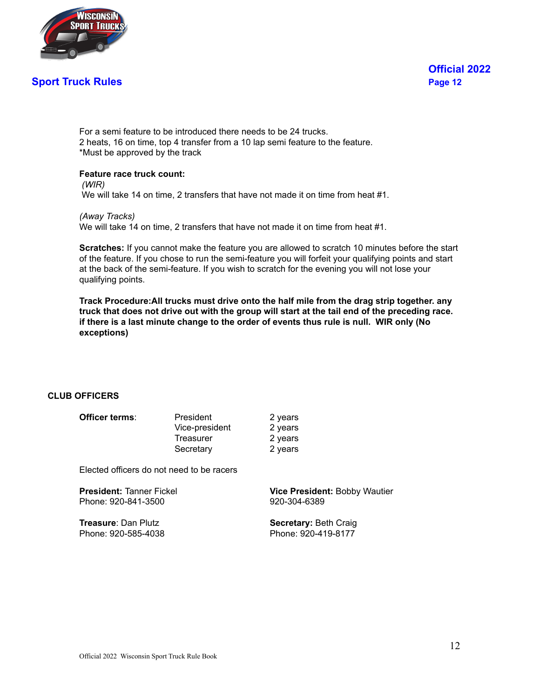

For a semi feature to be introduced there needs to be 24 trucks. 2 heats, 16 on time, top 4 transfer from a 10 lap semi feature to the feature. \*Must be approved by the track

#### **Feature race truck count:**

*(WIR)* We will take 14 on time, 2 transfers that have not made it on time from heat #1.

*(Away Tracks)* We will take 14 on time, 2 transfers that have not made it on time from heat #1.

**Scratches:** If you cannot make the feature you are allowed to scratch 10 minutes before the start of the feature. If you chose to run the semi-feature you will forfeit your qualifying points and start at the back of the semi-feature. If you wish to scratch for the evening you will not lose your qualifying points.

**Track Procedure:All trucks must drive onto the half mile from the drag strip together. any** truck that does not drive out with the group will start at the tail end of the preceding race. **if there is a last minute change to the order of events thus rule is null. WIR only (No exceptions)**

#### **CLUB OFFICERS**

| Officer terms: | President      | 2 years |
|----------------|----------------|---------|
|                | Vice-president | 2 years |
|                | Treasurer      | 2 years |
|                | Secretary      | 2 years |

Elected officers do not need to be racers

Phone: 920-841-3500 920-304-6389

**Treasure:** Dan Plutz **Secretary:** Beth Craig Phone: 920-585-4038 Phone: 920-419-8177

**President:** Tanner Fickel **Vice President:** Bobby Wautier